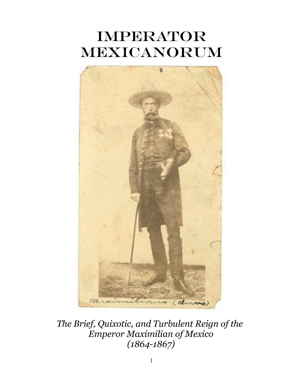# **IMPERATOR** Mexicanorum



*The Brief, Quixotic, and Turbulent Reign of the Emperor Maximilian of Mexico (1864-1867)*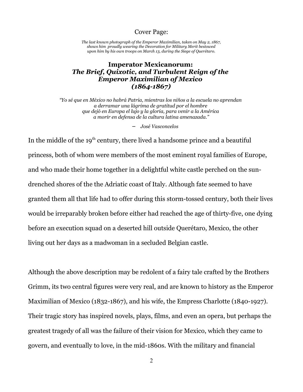#### Cover Page:

*The last known photograph of the Emperor Maximilian, taken on May 2, 1867, shows him proudly wearing the Decoration for Military Merit bestowed upon him by his own troops on March 13, during the Siege of Querétaro.*

### **Imperator Mexicanorum:**  *The Brief, Quixotic, and Turbulent Reign of the Emperor Maximilian of Mexico (1864-1867)*

*"Yo sé que en México no habrá Patria, mientras los niños a la escuela no aprendan a derramar una lágrima de gratitud por el hombre que dejó en Europa el lujo y la gloria, para venir a la América a morir en defensa de la cultura latina amenazada."*

− *José Vasconcelos* 

In the middle of the  $19<sup>th</sup>$  century, there lived a handsome prince and a beautiful princess, both of whom were members of the most eminent royal families of Europe, and who made their home together in a delightful white castle perched on the sundrenched shores of the the Adriatic coast of Italy. Although fate seemed to have granted them all that life had to offer during this storm-tossed century, both their lives would be irreparably broken before either had reached the age of thirty-five, one dying before an execution squad on a deserted hill outside Querétaro, Mexico, the other living out her days as a madwoman in a secluded Belgian castle.

Although the above description may be redolent of a fairy tale crafted by the Brothers Grimm, its two central figures were very real, and are known to history as the Emperor Maximilian of Mexico (1832-1867), and his wife, the Empress Charlotte (1840-1927). Their tragic story has inspired novels, plays, films, and even an opera, but perhaps the greatest tragedy of all was the failure of their vision for Mexico, which they came to govern, and eventually to love, in the mid-1860s. With the military and financial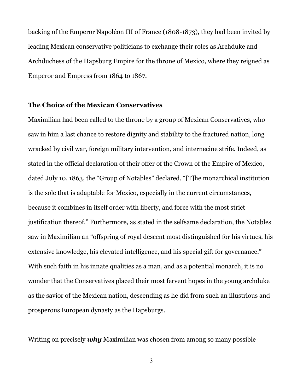backing of the Emperor Napoléon III of France (1808-1873), they had been invited by leading Mexican conservative politicians to exchange their roles as Archduke and Archduchess of the Hapsburg Empire for the throne of Mexico, where they reigned as Emperor and Empress from 1864 to 1867.

#### **The Choice of the Mexican Conservatives**

Maximilian had been called to the throne by a group of Mexican Conservatives, who saw in him a last chance to restore dignity and stability to the fractured nation, long wracked by civil war, foreign military intervention, and internecine strife. Indeed, as stated in the official declaration of their offer of the Crown of the Empire of Mexico, dated July 10, 1863, the "Group of Notables" declared, "[T]he monarchical institution is the sole that is adaptable for Mexico, especially in the current circumstances, because it combines in itself order with liberty, and force with the most strict justification thereof." Furthermore, as stated in the selfsame declaration, the Notables saw in Maximilian an "offspring of royal descent most distinguished for his virtues, his extensive knowledge, his elevated intelligence, and his special gift for governance." With such faith in his innate qualities as a man, and as a potential monarch, it is no wonder that the Conservatives placed their most fervent hopes in the young archduke as the savior of the Mexican nation, descending as he did from such an illustrious and prosperous European dynasty as the Hapsburgs.

Writing on precisely *why* Maximilian was chosen from among so many possible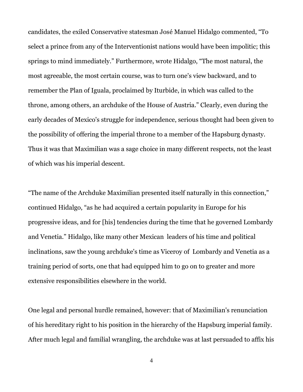candidates, the exiled Conservative statesman José Manuel Hidalgo commented, "To select a prince from any of the Interventionist nations would have been impolitic; this springs to mind immediately." Furthermore, wrote Hidalgo, "The most natural, the most agreeable, the most certain course, was to turn one's view backward, and to remember the Plan of Iguala, proclaimed by Iturbide, in which was called to the throne, among others, an archduke of the House of Austria." Clearly, even during the early decades of Mexico's struggle for independence, serious thought had been given to the possibility of offering the imperial throne to a member of the Hapsburg dynasty. Thus it was that Maximilian was a sage choice in many different respects, not the least of which was his imperial descent.

"The name of the Archduke Maximilian presented itself naturally in this connection," continued Hidalgo, "as he had acquired a certain popularity in Europe for his progressive ideas, and for [his] tendencies during the time that he governed Lombardy and Venetia." Hidalgo, like many other Mexican leaders of his time and political inclinations, saw the young archduke's time as Viceroy of Lombardy and Venetia as a training period of sorts, one that had equipped him to go on to greater and more extensive responsibilities elsewhere in the world.

One legal and personal hurdle remained, however: that of Maximilian's renunciation of his hereditary right to his position in the hierarchy of the Hapsburg imperial family. After much legal and familial wrangling, the archduke was at last persuaded to affix his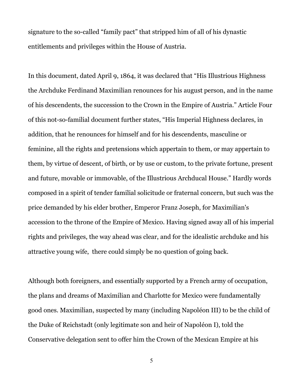signature to the so-called "family pact" that stripped him of all of his dynastic entitlements and privileges within the House of Austria.

In this document, dated April 9, 1864, it was declared that "His Illustrious Highness the Archduke Ferdinand Maximilian renounces for his august person, and in the name of his descendents, the succession to the Crown in the Empire of Austria." Article Four of this not-so-familial document further states, "His Imperial Highness declares, in addition, that he renounces for himself and for his descendents, masculine or feminine, all the rights and pretensions which appertain to them, or may appertain to them, by virtue of descent, of birth, or by use or custom, to the private fortune, present and future, movable or immovable, of the Illustrious Archducal House." Hardly words composed in a spirit of tender familial solicitude or fraternal concern, but such was the price demanded by his elder brother, Emperor Franz Joseph, for Maximilian's accession to the throne of the Empire of Mexico. Having signed away all of his imperial rights and privileges, the way ahead was clear, and for the idealistic archduke and his attractive young wife, there could simply be no question of going back.

Although both foreigners, and essentially supported by a French army of occupation, the plans and dreams of Maximilian and Charlotte for Mexico were fundamentally good ones. Maximilian, suspected by many (including Napoléon III) to be the child of the Duke of Reichstadt (only legitimate son and heir of Napoléon I), told the Conservative delegation sent to offer him the Crown of the Mexican Empire at his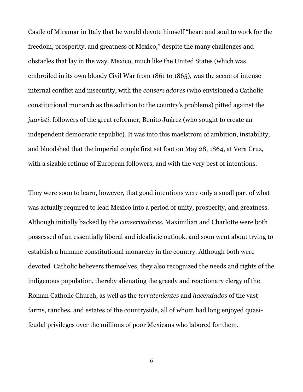Castle of Miramar in Italy that he would devote himself "heart and soul to work for the freedom, prosperity, and greatness of Mexico," despite the many challenges and obstacles that lay in the way. Mexico, much like the United States (which was embroiled in its own bloody Civil War from 1861 to 1865), was the scene of intense internal conflict and insecurity, with the *conservadores* (who envisioned a Catholic constitutional monarch as the solution to the country's problems) pitted against the *juaristi*, followers of the great reformer, Benito Juárez (who sought to create an independent democratic republic). It was into this maelstrom of ambition, instability, and bloodshed that the imperial couple first set foot on May 28, 1864, at Vera Cruz, with a sizable retinue of European followers, and with the very best of intentions.

They were soon to learn, however, that good intentions were only a small part of what was actually required to lead Mexico into a period of unity, prosperity, and greatness. Although initially backed by the *conservadores*, Maximilian and Charlotte were both possessed of an essentially liberal and idealistic outlook, and soon went about trying to establish a humane constitutional monarchy in the country. Although both were devoted Catholic believers themselves, they also recognized the needs and rights of the indigenous population, thereby alienating the greedy and reactionary clergy of the Roman Catholic Church, as well as the *terratenientes* and *hacendados* of the vast farms, ranches, and estates of the countryside, all of whom had long enjoyed quasifeudal privileges over the millions of poor Mexicans who labored for them.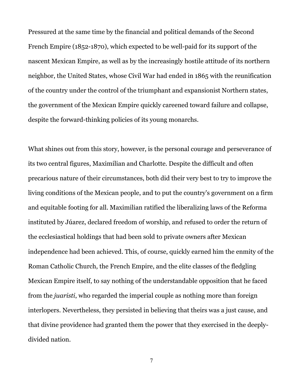Pressured at the same time by the financial and political demands of the Second French Empire (1852-1870), which expected to be well-paid for its support of the nascent Mexican Empire, as well as by the increasingly hostile attitude of its northern neighbor, the United States, whose Civil War had ended in 1865 with the reunification of the country under the control of the triumphant and expansionist Northern states, the government of the Mexican Empire quickly careened toward failure and collapse, despite the forward-thinking policies of its young monarchs.

What shines out from this story, however, is the personal courage and perseverance of its two central figures, Maximilian and Charlotte. Despite the difficult and often precarious nature of their circumstances, both did their very best to try to improve the living conditions of the Mexican people, and to put the country's government on a firm and equitable footing for all. Maximilian ratified the liberalizing laws of the Reforma instituted by Júarez, declared freedom of worship, and refused to order the return of the ecclesiastical holdings that had been sold to private owners after Mexican independence had been achieved. This, of course, quickly earned him the enmity of the Roman Catholic Church, the French Empire, and the elite classes of the fledgling Mexican Empire itself, to say nothing of the understandable opposition that he faced from the *juaristi*, who regarded the imperial couple as nothing more than foreign interlopers. Nevertheless, they persisted in believing that theirs was a just cause, and that divine providence had granted them the power that they exercised in the deeplydivided nation.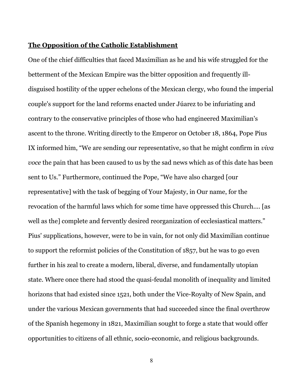#### **The Opposition of the Catholic Establishment**

One of the chief difficulties that faced Maximilian as he and his wife struggled for the betterment of the Mexican Empire was the bitter opposition and frequently illdisguised hostility of the upper echelons of the Mexican clergy, who found the imperial couple's support for the land reforms enacted under Júarez to be infuriating and contrary to the conservative principles of those who had engineered Maximilian's ascent to the throne. Writing directly to the Emperor on October 18, 1864, Pope Pius IX informed him, "We are sending our representative, so that he might confirm in *viva voce* the pain that has been caused to us by the sad news which as of this date has been sent to Us." Furthermore, continued the Pope, "We have also charged [our representative] with the task of begging of Your Majesty, in Our name, for the revocation of the harmful laws which for some time have oppressed this Church.... [as well as the] complete and fervently desired reorganization of ecclesiastical matters." Pius' supplications, however, were to be in vain, for not only did Maximilian continue to support the reformist policies of the Constitution of 1857, but he was to go even further in his zeal to create a modern, liberal, diverse, and fundamentally utopian state. Where once there had stood the quasi-feudal monolith of inequality and limited horizons that had existed since 1521, both under the Vice-Royalty of New Spain, and under the various Mexican governments that had succeeded since the final overthrow of the Spanish hegemony in 1821, Maximilian sought to forge a state that would offer opportunities to citizens of all ethnic, socio-economic, and religious backgrounds.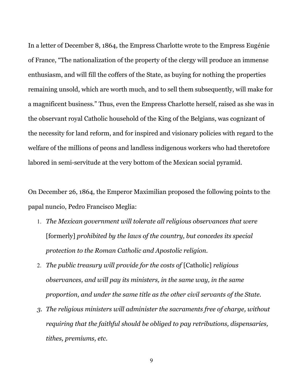In a letter of December 8, 1864, the Empress Charlotte wrote to the Empress Eugénie of France, "The nationalization of the property of the clergy will produce an immense enthusiasm, and will fill the coffers of the State, as buying for nothing the properties remaining unsold, which are worth much, and to sell them subsequently, will make for a magnificent business." Thus, even the Empress Charlotte herself, raised as she was in the observant royal Catholic household of the King of the Belgians, was cognizant of the necessity for land reform, and for inspired and visionary policies with regard to the welfare of the millions of peons and landless indigenous workers who had theretofore labored in semi-servitude at the very bottom of the Mexican social pyramid.

On December 26, 1864, the Emperor Maximilian proposed the following points to the papal nuncio, Pedro Francisco Meglia:

- 1. *The Mexican government will tolerate all religious observances that were* [formerly] *prohibited by the laws of the country, but concedes its special protection to the Roman Catholic and Apostolic religion.*
- 2. *The public treasury will provide for the costs of* [Catholic] *religious observances, and will pay its ministers, in the same way, in the same proportion, and under the same title as the other civil servants of the State.*
- *3. The religious ministers will administer the sacraments free of charge, without requiring that the faithful should be obliged to pay retributions, dispensaries, tithes, premiums, etc.*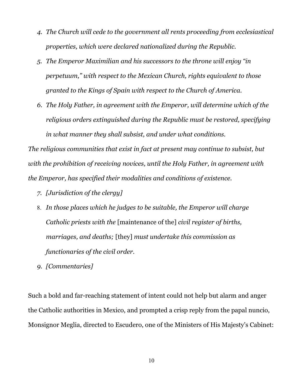- *4. The Church will cede to the government all rents proceeding from ecclesiastical properties, which were declared nationalized during the Republic.*
- *5. The Emperor Maximilian and his successors to the throne will enjoy "in perpetuum," with respect to the Mexican Church, rights equivalent to those granted to the Kings of Spain with respect to the Church of America.*
- *6. The Holy Father, in agreement with the Emperor, will determine which of the religious orders extinguished during the Republic must be restored, specifying in what manner they shall subsist, and under what conditions.*

*The religious communities that exist in fact at present may continue to subsist, but with the prohibition of receiving novices, until the Holy Father, in agreement with the Emperor, has specified their modalities and conditions of existence.* 

- *7. [Jurisdiction of the clergy]*
- 8. *In those places which he judges to be suitable, the Emperor will charge Catholic priests with the* [maintenance of the] *civil register of births, marriages, and deaths;* [they] *must undertake this commission as functionaries of the civil order.*
- *9. [Commentaries]*

Such a bold and far-reaching statement of intent could not help but alarm and anger the Catholic authorities in Mexico, and prompted a crisp reply from the papal nuncio, Monsignor Meglia, directed to Escudero, one of the Ministers of His Majesty's Cabinet: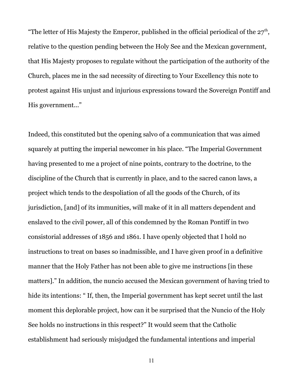"The letter of His Majesty the Emperor, published in the official periodical of the  $27<sup>th</sup>$ , relative to the question pending between the Holy See and the Mexican government, that His Majesty proposes to regulate without the participation of the authority of the Church, places me in the sad necessity of directing to Your Excellency this note to protest against His unjust and injurious expressions toward the Sovereign Pontiff and His government..."

Indeed, this constituted but the opening salvo of a communication that was aimed squarely at putting the imperial newcomer in his place. "The Imperial Government having presented to me a project of nine points, contrary to the doctrine, to the discipline of the Church that is currently in place, and to the sacred canon laws, a project which tends to the despoliation of all the goods of the Church, of its jurisdiction, [and] of its immunities, will make of it in all matters dependent and enslaved to the civil power, all of this condemned by the Roman Pontiff in two consistorial addresses of 1856 and 1861. I have openly objected that I hold no instructions to treat on bases so inadmissible, and I have given proof in a definitive manner that the Holy Father has not been able to give me instructions [in these matters]." In addition, the nuncio accused the Mexican government of having tried to hide its intentions: " If, then, the Imperial government has kept secret until the last moment this deplorable project, how can it be surprised that the Nuncio of the Holy See holds no instructions in this respect?" It would seem that the Catholic establishment had seriously misjudged the fundamental intentions and imperial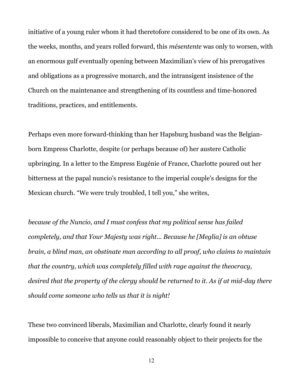initiative of a young ruler whom it had theretofore considered to be one of its own. As the weeks, months, and years rolled forward, this *mésentente* was only to worsen, with an enormous gulf eventually opening between Maximilian's view of his prerogatives and obligations as a progressive monarch, and the intransigent insistence of the Church on the maintenance and strengthening of its countless and time-honored traditions, practices, and entitlements.

Perhaps even more forward-thinking than her Hapsburg husband was the Belgianborn Empress Charlotte, despite (or perhaps because of) her austere Catholic upbringing. In a letter to the Empress Eugénie of France, Charlotte poured out her bitterness at the papal nuncio's resistance to the imperial couple's designs for the Mexican church. "We were truly troubled, I tell you," she writes,

*because of the Nuncio, and I must confess that my political sense has failed completely, and that Your Majesty was right... Because he [Meglia] is an obtuse brain, a blind man, an obstinate man according to all proof, who claims to maintain that the country, which was completely filled with rage against the theocracy, desired that the property of the clergy should be returned to it. As if at mid-day there should come someone who tells us that it is night!*

These two convinced liberals, Maximilian and Charlotte, clearly found it nearly impossible to conceive that anyone could reasonably object to their projects for the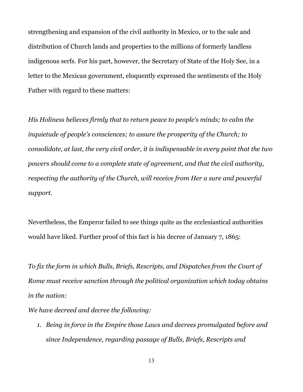strengthening and expansion of the civil authority in Mexico, or to the sale and distribution of Church lands and properties to the millions of formerly landless indigenous serfs. For his part, however, the Secretary of State of the Holy See, in a letter to the Mexican government, eloquently expressed the sentiments of the Holy Father with regard to these matters:

*His Holiness believes firmly that to return peace to people's minds; to calm the inquietude of people's consciences; to assure the prosperity of the Church; to consolidate, at last, the very civil order, it is indispensable in every point that the two powers should come to a complete state of agreement, and that the civil authority, respecting the authority of the Church, will receive from Her a sure and powerful support.* 

Nevertheless, the Emperor failed to see things quite as the ecclesiastical authorities would have liked. Further proof of this fact is his decree of January 7, 1865:

*To fix the form in which Bulls, Briefs, Rescripts, and Dispatches from the Court of Rome must receive sanction through the political organization which today obtains in the nation:*

*We have decreed and decree the following:*

*1. Being in force in the Empire those Laws and decrees promulgated before and since Independence, regarding passage of Bulls, Briefs, Rescripts and*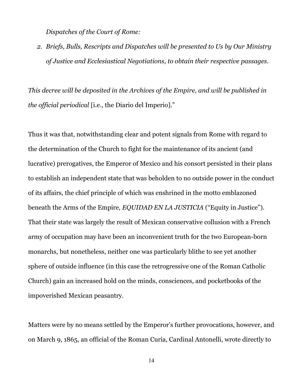*Dispatches of the Court of Rome:*

*2. Briefs, Bulls, Rescripts and Dispatches will be presented to Us by Our Ministry of Justice and Ecclesiastical Negotiations, to obtain their respective passages.*

*This decree will be deposited in the Archives of the Empire, and will be published in the official periodical* [i.e., the Diario del Imperio]."

Thus it was that, notwithstanding clear and potent signals from Rome with regard to the determination of the Church to fight for the maintenance of its ancient (and lucrative) prerogatives, the Emperor of Mexico and his consort persisted in their plans to establish an independent state that was beholden to no outside power in the conduct of its affairs, the chief principle of which was enshrined in the motto emblazoned beneath the Arms of the Empire, *EQUIDAD EN LA JUSTICIA* ("Equity in Justice"). That their state was largely the result of Mexican conservative collusion with a French army of occupation may have been an inconvenient truth for the two European-born monarchs, but nonetheless, neither one was particularly blithe to see yet another sphere of outside influence (in this case the retrogressive one of the Roman Catholic Church) gain an increased hold on the minds, consciences, and pocketbooks of the impoverished Mexican peasantry.

Matters were by no means settled by the Emperor's further provocations, however, and on March 9, 1865, an official of the Roman Curia, Cardinal Antonelli, wrote directly to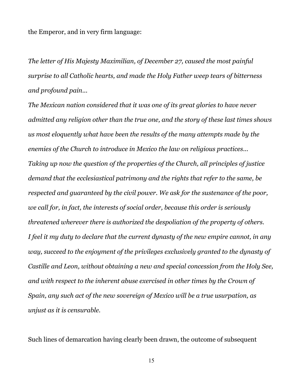the Emperor, and in very firm language:

*The letter of His Majesty Maximilian, of December 27, caused the most painful surprise to all Catholic hearts, and made the Holy Father weep tears of bitterness and profound pain...* 

*The Mexican nation considered that it was one of its great glories to have never admitted any religion other than the true one, and the story of these last times shows us most eloquently what have been the results of the many attempts made by the enemies of the Church to introduce in Mexico the law on religious practices... Taking up now the question of the properties of the Church, all principles of justice demand that the ecclesiastical patrimony and the rights that refer to the same, be respected and guaranteed by the civil power. We ask for the sustenance of the poor, we call for, in fact, the interests of social order, because this order is seriously threatened wherever there is authorized the despoliation of the property of others. I feel it my duty to declare that the current dynasty of the new empire cannot, in any way, succeed to the enjoyment of the privileges exclusively granted to the dynasty of Castille and Leon, without obtaining a new and special concession from the Holy See, and with respect to the inherent abuse exercised in other times by the Crown of Spain, any such act of the new sovereign of Mexico will be a true usurpation, as unjust as it is censurable.*

Such lines of demarcation having clearly been drawn, the outcome of subsequent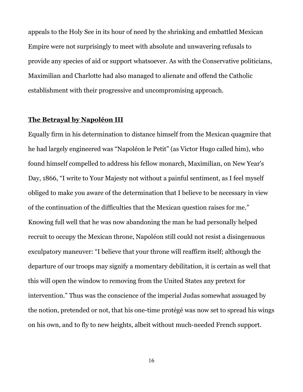appeals to the Holy See in its hour of need by the shrinking and embattled Mexican Empire were not surprisingly to meet with absolute and unwavering refusals to provide any species of aid or support whatsoever. As with the Conservative politicians, Maximilian and Charlotte had also managed to alienate and offend the Catholic establishment with their progressive and uncompromising approach.

#### **The Betrayal by Napoléon III**

Equally firm in his determination to distance himself from the Mexican quagmire that he had largely engineered was "Napoléon le Petit" (as Victor Hugo called him), who found himself compelled to address his fellow monarch, Maximilian, on New Year's Day, 1866, "I write to Your Majesty not without a painful sentiment, as I feel myself obliged to make you aware of the determination that I believe to be necessary in view of the continuation of the difficulties that the Mexican question raises for me." Knowing full well that he was now abandoning the man he had personally helped recruit to occupy the Mexican throne, Napoléon still could not resist a disingenuous exculpatory maneuver: "I believe that your throne will reaffirm itself; although the departure of our troops may signify a momentary debilitation, it is certain as well that this will open the window to removing from the United States any pretext for intervention." Thus was the conscience of the imperial Judas somewhat assuaged by the notion, pretended or not, that his one-time protégé was now set to spread his wings on his own, and to fly to new heights, albeit without much-needed French support.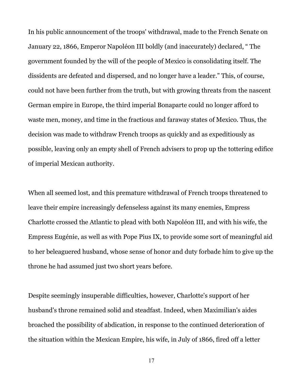In his public announcement of the troops' withdrawal, made to the French Senate on January 22, 1866, Emperor Napoléon III boldly (and inaccurately) declared, " The government founded by the will of the people of Mexico is consolidating itself. The dissidents are defeated and dispersed, and no longer have a leader." This, of course, could not have been further from the truth, but with growing threats from the nascent German empire in Europe, the third imperial Bonaparte could no longer afford to waste men, money, and time in the fractious and faraway states of Mexico. Thus, the decision was made to withdraw French troops as quickly and as expeditiously as possible, leaving only an empty shell of French advisers to prop up the tottering edifice of imperial Mexican authority.

When all seemed lost, and this premature withdrawal of French troops threatened to leave their empire increasingly defenseless against its many enemies, Empress Charlotte crossed the Atlantic to plead with both Napoléon III, and with his wife, the Empress Eugénie, as well as with Pope Pius IX, to provide some sort of meaningful aid to her beleaguered husband, whose sense of honor and duty forbade him to give up the throne he had assumed just two short years before.

Despite seemingly insuperable difficulties, however, Charlotte's support of her husband's throne remained solid and steadfast. Indeed, when Maximilian's aides broached the possibility of abdication, in response to the continued deterioration of the situation within the Mexican Empire, his wife, in July of 1866, fired off a letter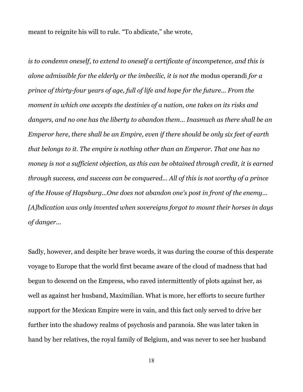meant to reignite his will to rule. "To abdicate," she wrote,

*is to condemn oneself, to extend to oneself a certificate of incompetence, and this is alone admissible for the elderly or the imbecilic, it is not the* modus operandi *for a prince of thirty-four years of age, full of life and hope for the future... From the moment in which one accepts the destinies of a nation, one takes on its risks and dangers, and no one has the liberty to abandon them... Inasmuch as there shall be an Emperor here, there shall be an Empire, even if there should be only six feet of earth that belongs to it. The empire is nothing other than an Emperor. That one has no money is not a sufficient objection, as this can be obtained through credit, it is earned through success, and success can be conquered... All of this is not worthy of a prince of the House of Hapsburg...One does not abandon one's post in front of the enemy... [A]bdication was only invented when sovereigns forgot to mount their horses in days of danger...*

Sadly, however, and despite her brave words, it was during the course of this desperate voyage to Europe that the world first became aware of the cloud of madness that had begun to descend on the Empress, who raved intermittently of plots against her, as well as against her husband, Maximilian. What is more, her efforts to secure further support for the Mexican Empire were in vain, and this fact only served to drive her further into the shadowy realms of psychosis and paranoia. She was later taken in hand by her relatives, the royal family of Belgium, and was never to see her husband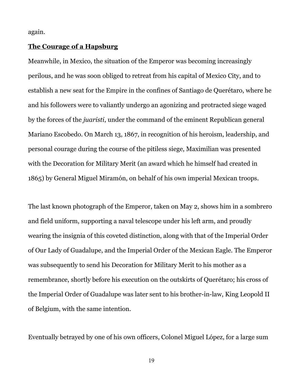again.

#### **The Courage of a Hapsburg**

Meanwhile, in Mexico, the situation of the Emperor was becoming increasingly perilous, and he was soon obliged to retreat from his capital of Mexico City, and to establish a new seat for the Empire in the confines of Santiago de Querétaro, where he and his followers were to valiantly undergo an agonizing and protracted siege waged by the forces of the *juaristi*, under the command of the eminent Republican general Mariano Escobedo. On March 13, 1867, in recognition of his heroism, leadership, and personal courage during the course of the pitiless siege, Maximilian was presented with the Decoration for Military Merit (an award which he himself had created in 1865) by General Miguel Miramón, on behalf of his own imperial Mexican troops.

The last known photograph of the Emperor, taken on May 2, shows him in a sombrero and field uniform, supporting a naval telescope under his left arm, and proudly wearing the insignia of this coveted distinction, along with that of the Imperial Order of Our Lady of Guadalupe, and the Imperial Order of the Mexican Eagle. The Emperor was subsequently to send his Decoration for Military Merit to his mother as a remembrance, shortly before his execution on the outskirts of Querétaro; his cross of the Imperial Order of Guadalupe was later sent to his brother-in-law, King Leopold II of Belgium, with the same intention.

Eventually betrayed by one of his own officers, Colonel Miguel López, for a large sum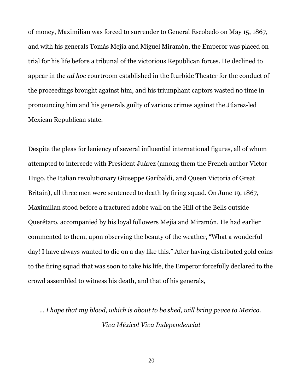of money, Maximilian was forced to surrender to General Escobedo on May 15, 1867, and with his generals Tomás Mejía and Miguel Miramón, the Emperor was placed on trial for his life before a tribunal of the victorious Republican forces. He declined to appear in the *ad hoc* courtroom established in the Iturbide Theater for the conduct of the proceedings brought against him, and his triumphant captors wasted no time in pronouncing him and his generals guilty of various crimes against the Júarez-led Mexican Republican state.

Despite the pleas for leniency of several influential international figures, all of whom attempted to intercede with President Juárez (among them the French author Victor Hugo, the Italian revolutionary Giuseppe Garibaldi, and Queen Victoria of Great Britain), all three men were sentenced to death by firing squad. On June 19, 1867, Maximilian stood before a fractured adobe wall on the Hill of the Bells outside Querétaro, accompanied by his loyal followers Mejía and Miramón. He had earlier commented to them, upon observing the beauty of the weather, "What a wonderful day! I have always wanted to die on a day like this." After having distributed gold coins to the firing squad that was soon to take his life, the Emperor forcefully declared to the crowd assembled to witness his death, and that of his generals,

*… I hope that my blood, which is about to be shed, will bring peace to Mexico. Viva México! Viva Independencia!*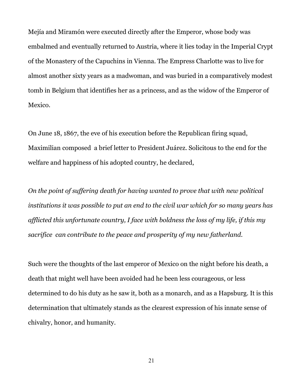Mejía and Miramón were executed directly after the Emperor, whose body was embalmed and eventually returned to Austria, where it lies today in the Imperial Crypt of the Monastery of the Capuchins in Vienna. The Empress Charlotte was to live for almost another sixty years as a madwoman, and was buried in a comparatively modest tomb in Belgium that identifies her as a princess, and as the widow of the Emperor of Mexico.

On June 18, 1867, the eve of his execution before the Republican firing squad, Maximilian composed a brief letter to President Juárez. Solicitous to the end for the welfare and happiness of his adopted country, he declared,

*On the point of suffering death for having wanted to prove that with new political institutions it was possible to put an end to the civil war which for so many years has afflicted this unfortunate country, I face with boldness the loss of my life, if this my sacrifice can contribute to the peace and prosperity of my new fatherland.* 

Such were the thoughts of the last emperor of Mexico on the night before his death, a death that might well have been avoided had he been less courageous, or less determined to do his duty as he saw it, both as a monarch, and as a Hapsburg. It is this determination that ultimately stands as the clearest expression of his innate sense of chivalry, honor, and humanity.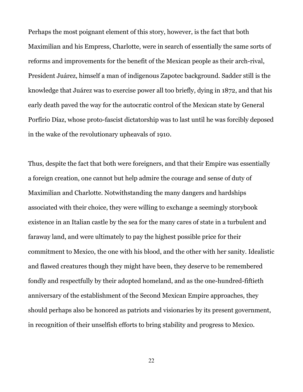Perhaps the most poignant element of this story, however, is the fact that both Maximilian and his Empress, Charlotte, were in search of essentially the same sorts of reforms and improvements for the benefit of the Mexican people as their arch-rival, President Juárez, himself a man of indigenous Zapotec background. Sadder still is the knowledge that Juárez was to exercise power all too briefly, dying in 1872, and that his early death paved the way for the autocratic control of the Mexican state by General Porfírio Díaz, whose proto-fascist dictatorship was to last until he was forcibly deposed in the wake of the revolutionary upheavals of 1910.

Thus, despite the fact that both were foreigners, and that their Empire was essentially a foreign creation, one cannot but help admire the courage and sense of duty of Maximilian and Charlotte. Notwithstanding the many dangers and hardships associated with their choice, they were willing to exchange a seemingly storybook existence in an Italian castle by the sea for the many cares of state in a turbulent and faraway land, and were ultimately to pay the highest possible price for their commitment to Mexico, the one with his blood, and the other with her sanity. Idealistic and flawed creatures though they might have been, they deserve to be remembered fondly and respectfully by their adopted homeland, and as the one-hundred-fiftieth anniversary of the establishment of the Second Mexican Empire approaches, they should perhaps also be honored as patriots and visionaries by its present government, in recognition of their unselfish efforts to bring stability and progress to Mexico.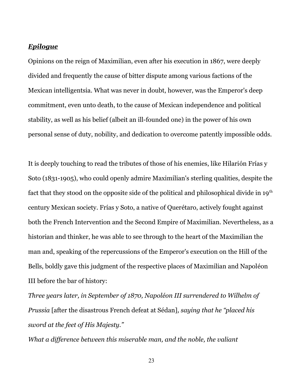#### *Epilogue*

Opinions on the reign of Maximilian, even after his execution in 1867, were deeply divided and frequently the cause of bitter dispute among various factions of the Mexican intelligentsia. What was never in doubt, however, was the Emperor's deep commitment, even unto death, to the cause of Mexican independence and political stability, as well as his belief (albeit an ill-founded one) in the power of his own personal sense of duty, nobility, and dedication to overcome patently impossible odds.

It is deeply touching to read the tributes of those of his enemies, like Hilarión Frías y Soto (1831-1905), who could openly admire Maximilian's sterling qualities, despite the fact that they stood on the opposite side of the political and philosophical divide in  $19<sup>th</sup>$ century Mexican society. Frías y Soto, a native of Querétaro, actively fought against both the French Intervention and the Second Empire of Maximilian. Nevertheless, as a historian and thinker, he was able to see through to the heart of the Maximilian the man and, speaking of the repercussions of the Emperor's execution on the Hill of the Bells, boldly gave this judgment of the respective places of Maximilian and Napoléon III before the bar of history:

*Three years later, in September of 1870, Napoléon III surrendered to Wilhelm of Prussia* [after the disastrous French defeat at Sédan]*, saying that he "placed his sword at the feet of His Majesty."*

*What a difference between this miserable man, and the noble, the valiant*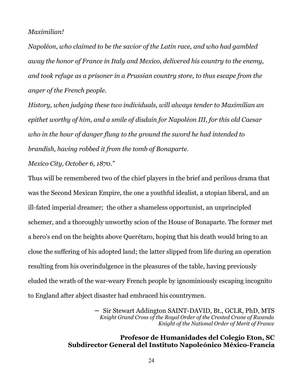#### *Maximilian!*

*Napoléon, who claimed to be the savior of the Latin race, and who had gambled away the honor of France in Italy and Mexico, delivered his country to the enemy, and took refuge as a prisoner in a Prussian country store, to thus escape from the anger of the French people.*

*History, when judging these two individuals, will always tender to Maximilian an epithet worthy of him, and a smile of disdain for Napoléon III, for this old Caesar who in the hour of danger flung to the ground the sword he had intended to brandish, having robbed it from the tomb of Bonaparte.*

*Mexico City, October 6, 1870."*

Thus will be remembered two of the chief players in the brief and perilous drama that was the Second Mexican Empire, the one a youthful idealist, a utopian liberal, and an ill-fated imperial dreamer; the other a shameless opportunist, an unprincipled schemer, and a thoroughly unworthy scion of the House of Bonaparte. The former met a hero's end on the heights above Querétaro, hoping that his death would bring to an close the suffering of his adopted land; the latter slipped from life during an operation resulting from his overindulgence in the pleasures of the table, having previously eluded the wrath of the war-weary French people by ignominiously escaping incognito to England after abject disaster had embraced his countrymen.

> − Sir Stewart Addington SAINT-DAVID, Bt., GCLR, PhD, MTS *Knight Grand Cross of the Royal Order of the Crested Crane of Rwanda Knight of the National Order of Merit of France*

### **Profesor de Humanidades del Colegio Eton, SC Subdirector General del Instituto Napoleónico México-Francia**